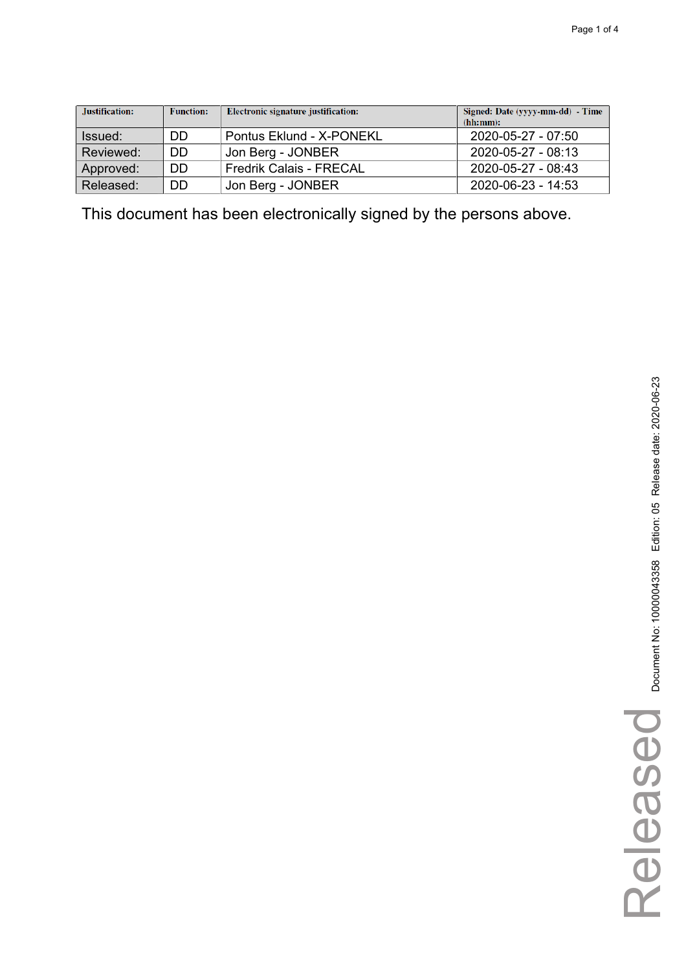| Justification: | <b>Function:</b> | Electronic signature justification: | Signed: Date (yyyy-mm-dd) - Time<br>(hh:mm): |
|----------------|------------------|-------------------------------------|----------------------------------------------|
| Issued:        | DD               | Pontus Eklund - X-PONEKL            | 2020-05-27 - 07:50                           |
| Reviewed:      | DD               | Jon Berg - JONBER                   | $2020 - 05 - 27 - 08:13$                     |
| Approved:      | DD               | <b>Fredrik Calais - FRECAL</b>      | 2020-05-27 - 08:43                           |
| Released:      | DD               | Jon Berg - JONBER                   | 2020-06-23 - 14:53                           |

Released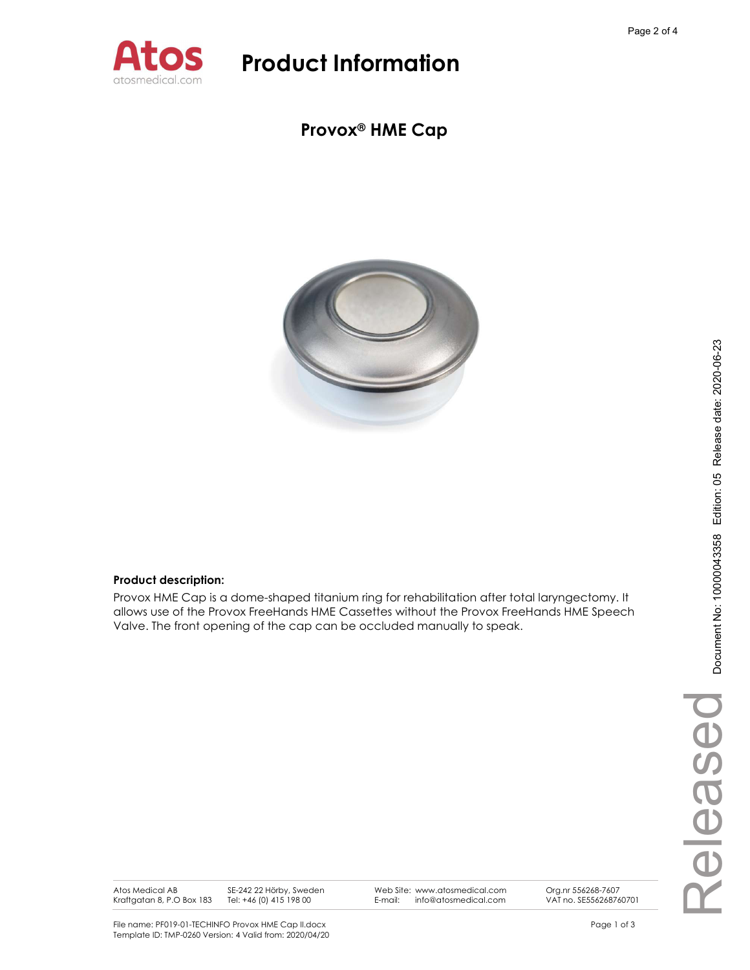

### Provox® HME Cap



### Product description:

Provox HME Cap is a dome-shaped titanium ring for rehabilitation after total laryngectomy. It allows use of the Provox FreeHands HME Cassettes without the Provox FreeHands HME Speech Valve. The front opening of the cap can be occluded manually to speak.

Atos Medical AB Kraftgatan 8, P.O Box 183 SE-242 22 Hörby, Sweden Tel: +46 (0) 415 198 00

Web Site: www.atosmedical.com<br>F-mail: info@atosmedical.com E-mail: info@atosmedical.com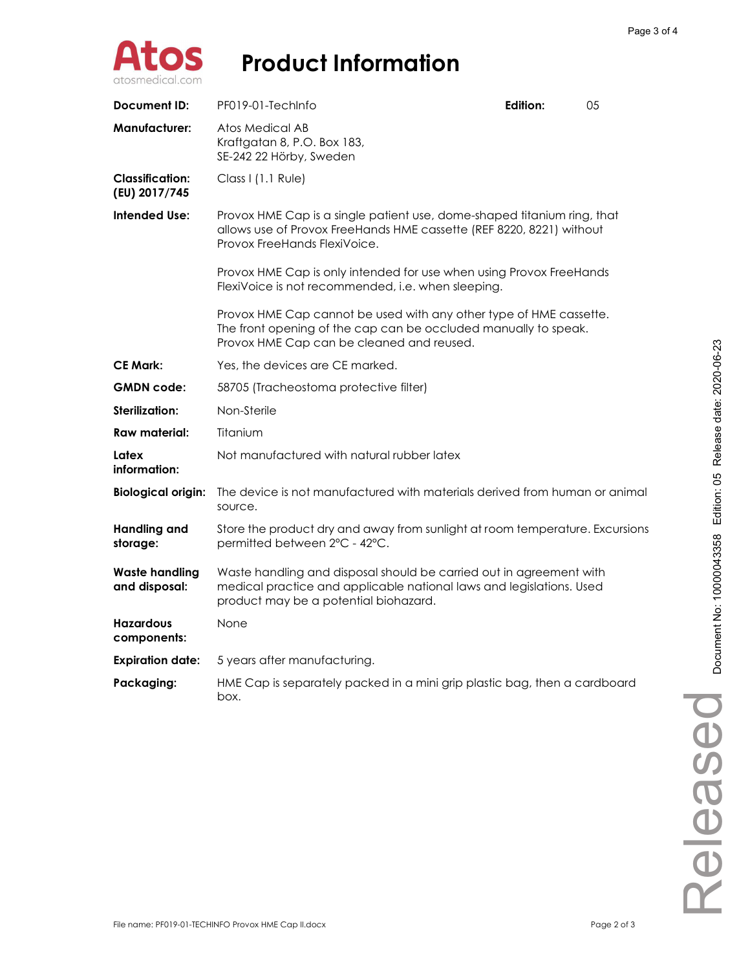

| Document ID:                            | PF019-01-TechInfo                                                                                                                                                                    | <b>Edition:</b> | 05 |
|-----------------------------------------|--------------------------------------------------------------------------------------------------------------------------------------------------------------------------------------|-----------------|----|
| <b>Manufacturer:</b>                    | Atos Medical AB<br>Kraftgatan 8, P.O. Box 183,<br>SE-242 22 Hörby, Sweden                                                                                                            |                 |    |
| <b>Classification:</b><br>(EU) 2017/745 | Class I (1.1 Rule)                                                                                                                                                                   |                 |    |
| <b>Intended Use:</b>                    | Provox HME Cap is a single patient use, dome-shaped titanium ring, that<br>allows use of Provox FreeHands HME cassette (REF 8220, 8221) without<br>Provox FreeHands FlexiVoice.      |                 |    |
|                                         | Provox HME Cap is only intended for use when using Provox FreeHands<br>FlexiVoice is not recommended, i.e. when sleeping.                                                            |                 |    |
|                                         | Provox HME Cap cannot be used with any other type of HME cassette.<br>The front opening of the cap can be occluded manually to speak.<br>Provox HME Cap can be cleaned and reused.   |                 |    |
| <b>CE Mark:</b>                         | Yes, the devices are CE marked.                                                                                                                                                      |                 |    |
| <b>GMDN</b> code:                       | 58705 (Tracheostoma protective filter)                                                                                                                                               |                 |    |
| Sterilization:                          | Non-Sterile                                                                                                                                                                          |                 |    |
| <b>Raw material:</b>                    | Titanium                                                                                                                                                                             |                 |    |
| Latex<br>information:                   | Not manufactured with natural rubber latex                                                                                                                                           |                 |    |
| <b>Biological origin:</b>               | The device is not manufactured with materials derived from human or animal<br>source.                                                                                                |                 |    |
| <b>Handling and</b><br>storage:         | Store the product dry and away from sunlight at room temperature. Excursions<br>permitted between 2°C - 42°C.                                                                        |                 |    |
| <b>Waste handling</b><br>and disposal:  | Waste handling and disposal should be carried out in agreement with<br>medical practice and applicable national laws and legislations. Used<br>product may be a potential biohazard. |                 |    |
| <b>Hazardous</b><br>components:         | None                                                                                                                                                                                 |                 |    |
| <b>Expiration date:</b>                 | 5 years after manufacturing.                                                                                                                                                         |                 |    |
| Packaging:                              | HME Cap is separately packed in a mini grip plastic bag, then a cardboard<br>box.                                                                                                    |                 |    |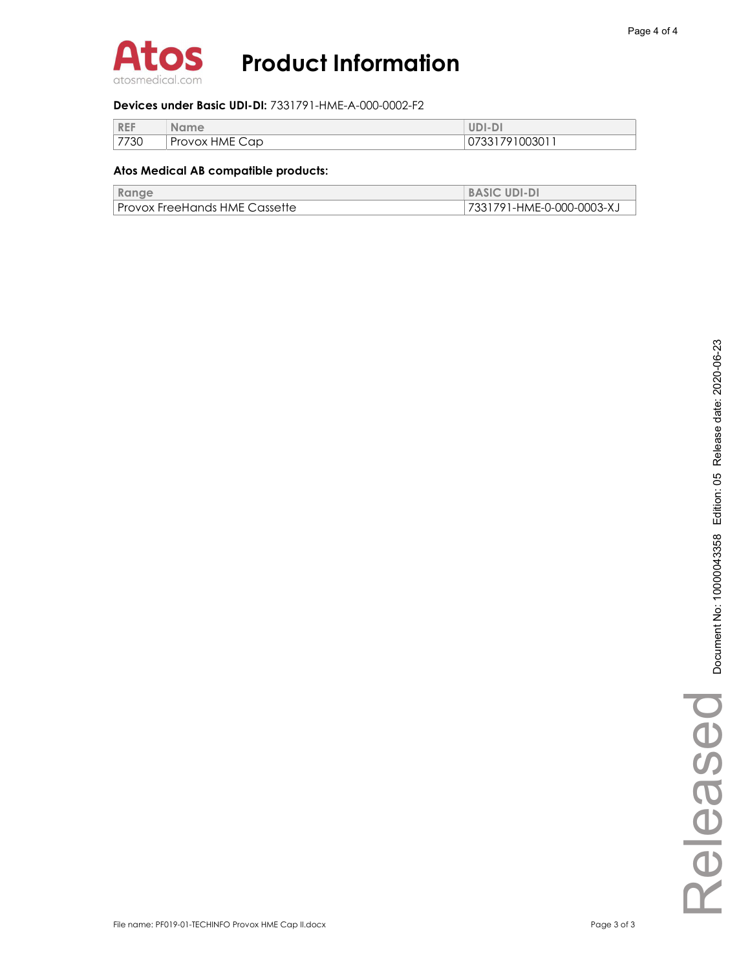

### Devices under Basic UDI-DI: 7331791-HME-A-000-0002-F2

| <b>REF</b> | <b>Name</b>    | $UDI-D$        |
|------------|----------------|----------------|
| 7730       | Provox HME Cap | 07331791003011 |

| Range                         | <b>BASIC UDI-DI</b>       |
|-------------------------------|---------------------------|
| Provox FreeHands HME Cassette | 7331791-HME-0-000-0003-XJ |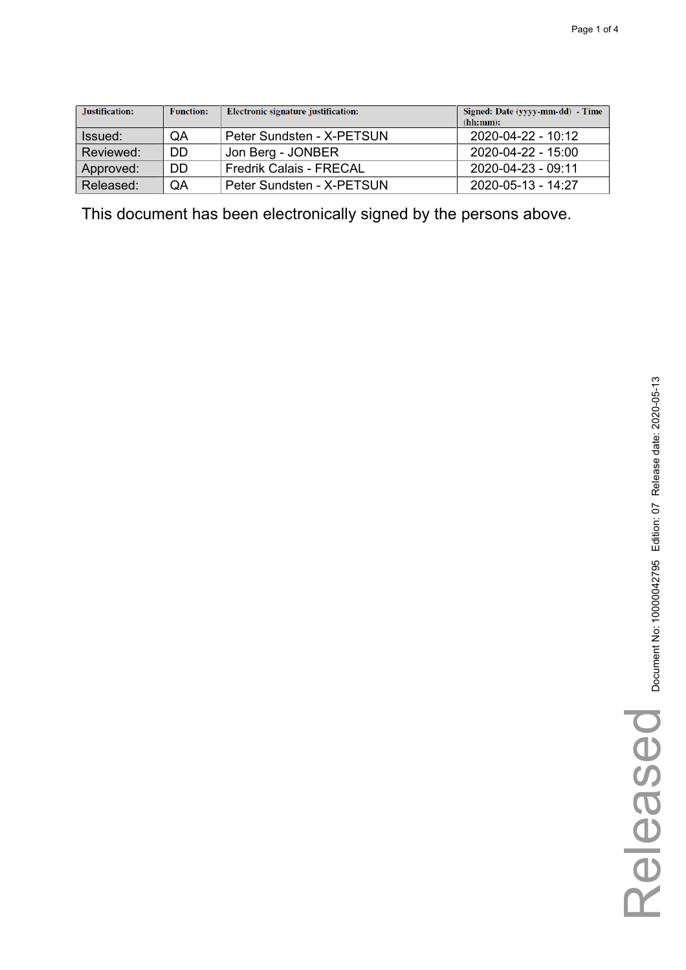| Justification: | <b>Function:</b> | Electronic signature justification: | Signed: Date (yyyy-mm-dd) - Time<br>(hh:mm): |
|----------------|------------------|-------------------------------------|----------------------------------------------|
| Issued:        | QA               | Peter Sundsten - X-PETSUN           | 2020-04-22 - 10:12                           |
| Reviewed:      | DD               | Jon Berg - JONBER                   | 2020-04-22 - 15:00                           |
| Approved:      | DD               | <b>Fredrik Calais - FRECAL</b>      | 2020-04-23 - 09:11                           |
| Released:      | QA               | Peter Sundsten - X-PETSUN           | 2020-05-13 - 14:27                           |

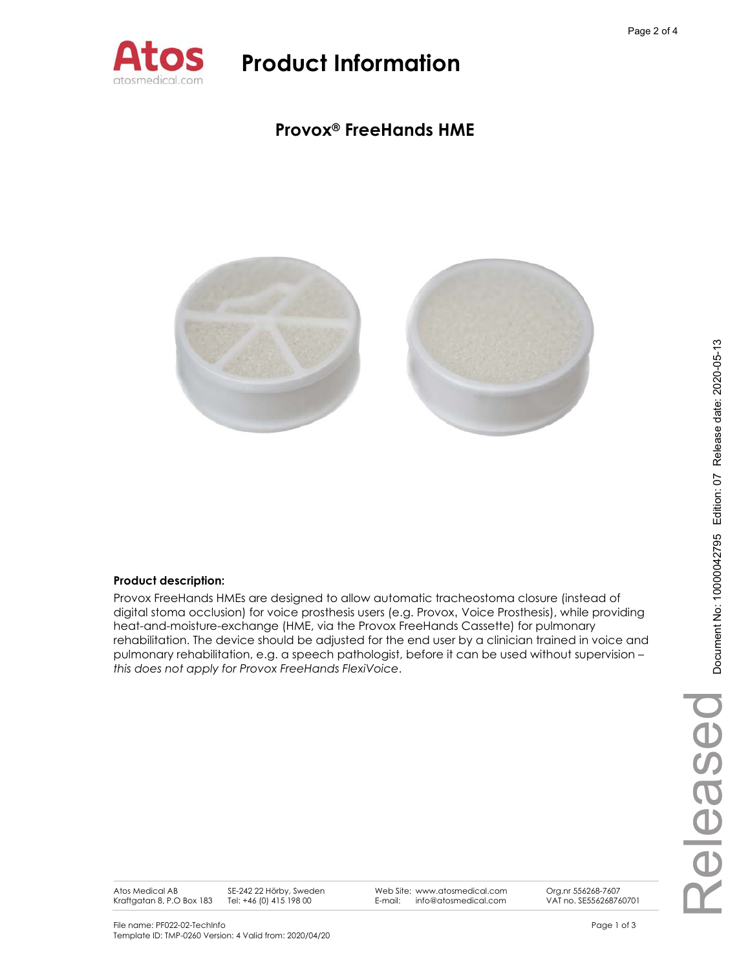

### **Provox® FreeHands HME**



### **Product description:**

Provox FreeHands HMEs are designed to allow automatic tracheostoma closure (instead of digital stoma occlusion) for voice prosthesis users (e.g. Provox, Voice Prosthesis), while providing heat-and-moisture-exchange (HME, via the Provox FreeHands Cassette) for pulmonary rehabilitation. The device should be adjusted for the end user by a clinician trained in voice and pulmonary rehabilitation, e.g. a speech pathologist, before it can be used without supervision – *this does not apply for Provox FreeHands FlexiVoice*.

Atos Medical AB Kraftgatan 8, P.O Box 183 SE-242 22 Hörby, Sweden Tel: +46 (0) 415 198 00

Web Site: www.atosmedical.com E-mail: info@atosmedical.com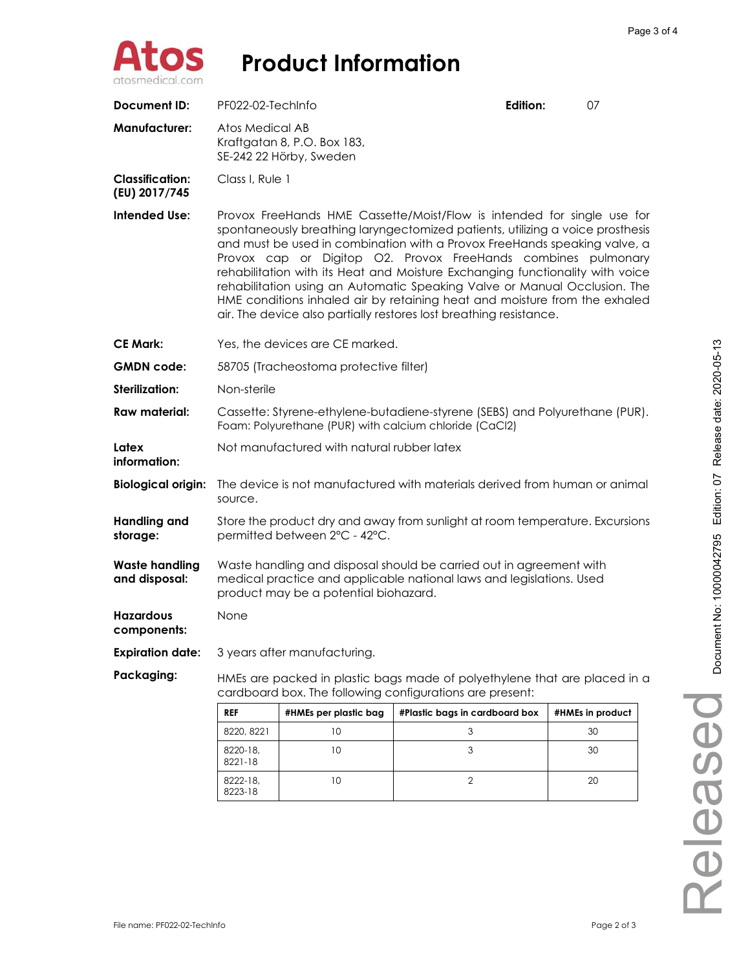

| <b>Document ID:</b>                     | PF022-02-TechInfo                                                                                                                                                                                                                                                                                                                                                                                                                                                                                                                                                                                                         |                                                                           | Edition:                       | 07               |  |
|-----------------------------------------|---------------------------------------------------------------------------------------------------------------------------------------------------------------------------------------------------------------------------------------------------------------------------------------------------------------------------------------------------------------------------------------------------------------------------------------------------------------------------------------------------------------------------------------------------------------------------------------------------------------------------|---------------------------------------------------------------------------|--------------------------------|------------------|--|
| Manufacturer:                           |                                                                                                                                                                                                                                                                                                                                                                                                                                                                                                                                                                                                                           | Atos Medical AB<br>Kraftgatan 8, P.O. Box 183,<br>SE-242 22 Hörby, Sweden |                                |                  |  |
| <b>Classification:</b><br>(EU) 2017/745 | Class I, Rule 1                                                                                                                                                                                                                                                                                                                                                                                                                                                                                                                                                                                                           |                                                                           |                                |                  |  |
| <b>Intended Use:</b>                    | Provox FreeHands HME Cassette/Moist/Flow is intended for single use for<br>spontaneously breathing laryngectomized patients, utilizing a voice prosthesis<br>and must be used in combination with a Provox FreeHands speaking valve, a<br>Provox cap or Digitop O2. Provox FreeHands combines pulmonary<br>rehabilitation with its Heat and Moisture Exchanging functionality with voice<br>rehabilitation using an Automatic Speaking Valve or Manual Occlusion. The<br>HME conditions inhaled air by retaining heat and moisture from the exhaled<br>air. The device also partially restores lost breathing resistance. |                                                                           |                                |                  |  |
| CE Mark:                                |                                                                                                                                                                                                                                                                                                                                                                                                                                                                                                                                                                                                                           | Yes, the devices are CE marked.                                           |                                |                  |  |
| <b>GMDN code:</b>                       |                                                                                                                                                                                                                                                                                                                                                                                                                                                                                                                                                                                                                           | 58705 (Tracheostoma protective filter)                                    |                                |                  |  |
| <b>Sterilization:</b>                   | Non-sterile                                                                                                                                                                                                                                                                                                                                                                                                                                                                                                                                                                                                               |                                                                           |                                |                  |  |
| <b>Raw material:</b>                    | Cassette: Styrene-ethylene-butadiene-styrene (SEBS) and Polyurethane (PUR).<br>Foam: Polyurethane (PUR) with calcium chloride (CaCl2)                                                                                                                                                                                                                                                                                                                                                                                                                                                                                     |                                                                           |                                |                  |  |
| Latex<br>information:                   | Not manufactured with natural rubber latex                                                                                                                                                                                                                                                                                                                                                                                                                                                                                                                                                                                |                                                                           |                                |                  |  |
| <b>Biological origin:</b>               | The device is not manufactured with materials derived from human or animal<br>source.                                                                                                                                                                                                                                                                                                                                                                                                                                                                                                                                     |                                                                           |                                |                  |  |
| Handling and<br>storage:                | Store the product dry and away from sunlight at room temperature. Excursions<br>permitted between 2°C - 42°C.                                                                                                                                                                                                                                                                                                                                                                                                                                                                                                             |                                                                           |                                |                  |  |
| Waste handling<br>and disposal:         | Waste handling and disposal should be carried out in agreement with<br>medical practice and applicable national laws and legislations. Used<br>product may be a potential biohazard.                                                                                                                                                                                                                                                                                                                                                                                                                                      |                                                                           |                                |                  |  |
| <b>Hazardous</b><br>components:         | None                                                                                                                                                                                                                                                                                                                                                                                                                                                                                                                                                                                                                      |                                                                           |                                |                  |  |
| <b>Expiration date:</b>                 | 3 years after manufacturing.                                                                                                                                                                                                                                                                                                                                                                                                                                                                                                                                                                                              |                                                                           |                                |                  |  |
| Packaging:                              | HMEs are packed in plastic bags made of polyethylene that are placed in a<br>cardboard box. The following configurations are present:                                                                                                                                                                                                                                                                                                                                                                                                                                                                                     |                                                                           |                                |                  |  |
|                                         | <b>REF</b>                                                                                                                                                                                                                                                                                                                                                                                                                                                                                                                                                                                                                | #HMEs per plastic bag                                                     | #Plastic bags in cardboard box | #HMEs in product |  |
|                                         | 8220, 8221                                                                                                                                                                                                                                                                                                                                                                                                                                                                                                                                                                                                                | 10                                                                        | 3                              | 30               |  |
|                                         | 8220-18,<br>8221-18                                                                                                                                                                                                                                                                                                                                                                                                                                                                                                                                                                                                       | 10                                                                        | 3                              | 30               |  |

10 2 20

Released

Released

8222-18, 8223-18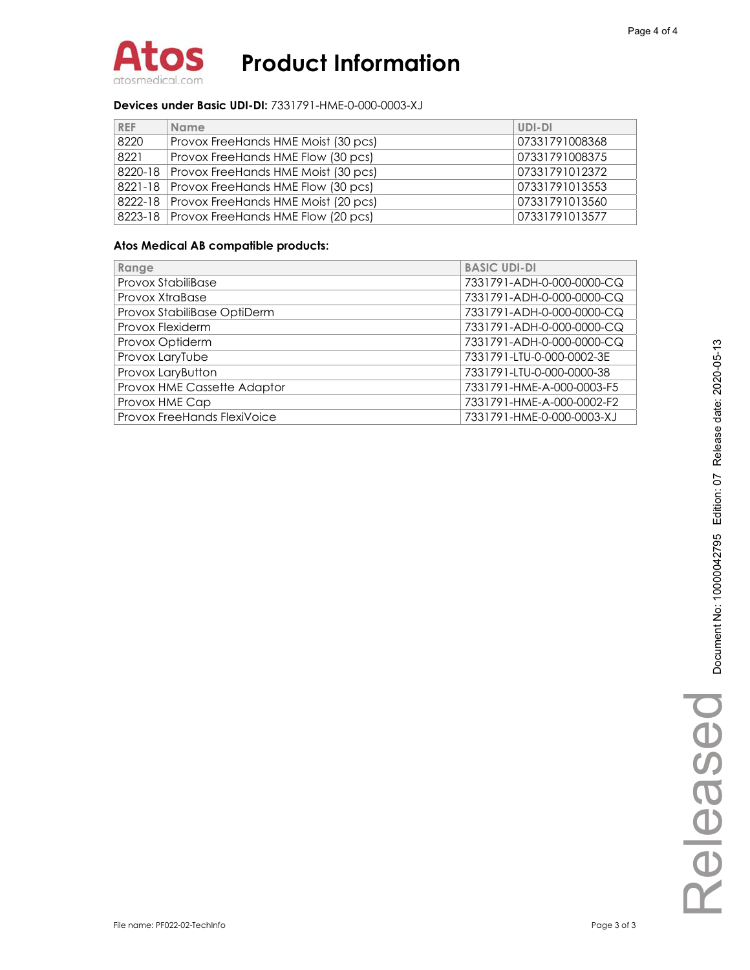

### **Devices under Basic UDI-DI:** 7331791-HME-0-000-0003-XJ

| <b>REF</b> | <b>Name</b>                                   | UDI-DI         |
|------------|-----------------------------------------------|----------------|
| 8220       | Provox FreeHands HME Moist (30 pcs)           | 07331791008368 |
| 8221       | Provox FreeHands HME Flow (30 pcs)            | 07331791008375 |
|            | 8220-18 Provox FreeHands HME Moist (30 pcs)   | 07331791012372 |
|            | 8221-18 Provox FreeHands HME Flow (30 pcs)    | 07331791013553 |
|            | 8222-18   Provox FreeHands HME Moist (20 pcs) | 07331791013560 |
|            | 8223-18   Provox FreeHands HME Flow (20 pcs)  | 07331791013577 |

| Range                       | <b>BASIC UDI-DI</b>       |
|-----------------------------|---------------------------|
| Provox StabiliBase          | 7331791-ADH-0-000-0000-CQ |
| Provox XtraBase             | 7331791-ADH-0-000-0000-CQ |
| Provox StabiliBase OptiDerm | 7331791-ADH-0-000-0000-CQ |
| Provox Flexiderm            | 7331791-ADH-0-000-0000-CQ |
| Provox Optiderm             | 7331791-ADH-0-000-0000-CQ |
| Provox LaryTube             | 7331791-LTU-0-000-0002-3E |
| Provox LaryButton           | 7331791-LTU-0-000-0000-38 |
| Provox HME Cassette Adaptor | 7331791-HME-A-000-0003-F5 |
| Provox HME Cap              | 7331791-HME-A-000-0002-F2 |
| Provox FreeHands FlexiVoice | 7331791-HME-0-000-0003-XJ |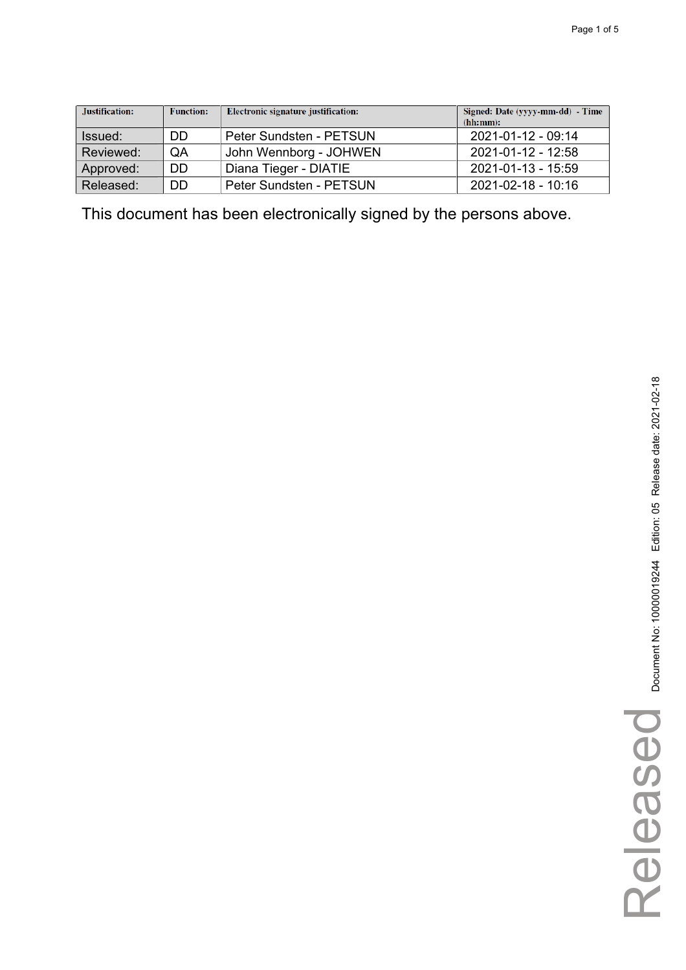| Justification: | <b>Function:</b> | Electronic signature justification: | Signed: Date (yyyy-mm-dd) - Time<br>(hh:mm): |
|----------------|------------------|-------------------------------------|----------------------------------------------|
| Issued:        | DD               | Peter Sundsten - PETSUN             | 2021-01-12 - 09:14                           |
| Reviewed:      | QA               | John Wennborg - JOHWEN              | 2021-01-12 - 12:58                           |
| Approved:      | <b>DD</b>        | Diana Tieger - DIATIE               | 2021-01-13 - 15:59                           |
| Released:      | DD               | Peter Sundsten - PETSUN             | 2021-02-18 - 10:16                           |

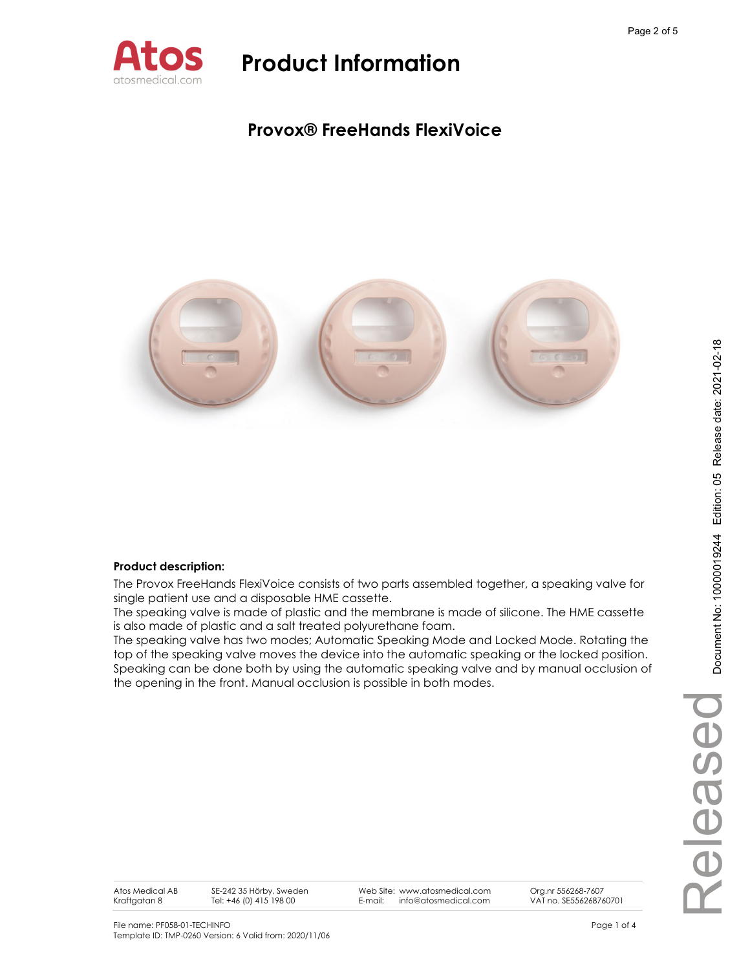

### **Provox® FreeHands FlexiVoice**



### **Product description:**

The Provox FreeHands FlexiVoice consists of two parts assembled together, a speaking valve for single patient use and a disposable HME cassette.

The speaking valve is made of plastic and the membrane is made of silicone. The HME cassette is also made of plastic and a salt treated polyurethane foam.

The speaking valve has two modes; Automatic Speaking Mode and Locked Mode. Rotating the top of the speaking valve moves the device into the automatic speaking or the locked position. Speaking can be done both by using the automatic speaking valve and by manual occlusion of the opening in the front. Manual occlusion is possible in both modes.

Atos Medical AB Kraftgatan 8

SE-242 35 Hörby, Sweden Tel: +46 (0) 415 198 00

Web Site: www.atosmedical.com E-mail: info@atosmedical.com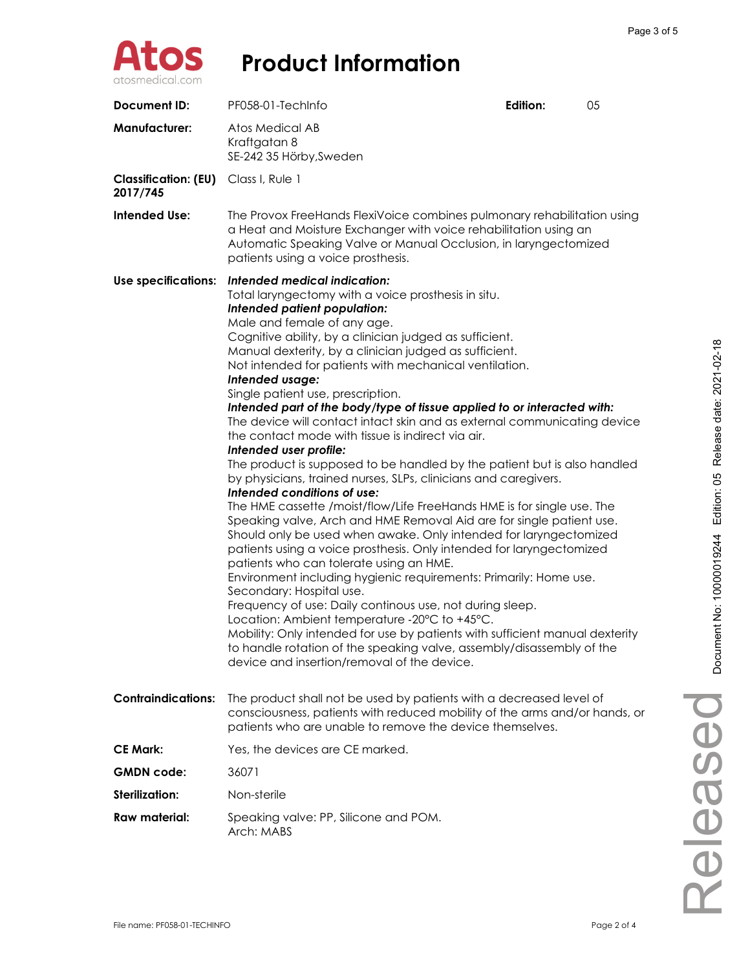

| Document ID:                                            | PF058-01-TechInfo                                                                                                                                                                                                                                                                                                                                                                                                                                                                                                                                                                                                                                                                                                                                                                                                                                                                                                                                                                                                                                                                                                                                                                                                                                                                                                                                                                                                                                                                                                                                                             | Edition: | 05 |
|---------------------------------------------------------|-------------------------------------------------------------------------------------------------------------------------------------------------------------------------------------------------------------------------------------------------------------------------------------------------------------------------------------------------------------------------------------------------------------------------------------------------------------------------------------------------------------------------------------------------------------------------------------------------------------------------------------------------------------------------------------------------------------------------------------------------------------------------------------------------------------------------------------------------------------------------------------------------------------------------------------------------------------------------------------------------------------------------------------------------------------------------------------------------------------------------------------------------------------------------------------------------------------------------------------------------------------------------------------------------------------------------------------------------------------------------------------------------------------------------------------------------------------------------------------------------------------------------------------------------------------------------------|----------|----|
| <b>Manufacturer:</b>                                    | Atos Medical AB<br>Kraftgatan 8<br>SE-242 35 Hörby, Sweden                                                                                                                                                                                                                                                                                                                                                                                                                                                                                                                                                                                                                                                                                                                                                                                                                                                                                                                                                                                                                                                                                                                                                                                                                                                                                                                                                                                                                                                                                                                    |          |    |
| <b>Classification: (EU)</b> Class I, Rule 1<br>2017/745 |                                                                                                                                                                                                                                                                                                                                                                                                                                                                                                                                                                                                                                                                                                                                                                                                                                                                                                                                                                                                                                                                                                                                                                                                                                                                                                                                                                                                                                                                                                                                                                               |          |    |
| <b>Intended Use:</b>                                    | The Provox FreeHands FlexiVoice combines pulmonary rehabilitation using<br>a Heat and Moisture Exchanger with voice rehabilitation using an<br>Automatic Speaking Valve or Manual Occlusion, in laryngectomized<br>patients using a voice prosthesis.                                                                                                                                                                                                                                                                                                                                                                                                                                                                                                                                                                                                                                                                                                                                                                                                                                                                                                                                                                                                                                                                                                                                                                                                                                                                                                                         |          |    |
| Use specifications:                                     | Intended medical indication:<br>Total laryngectomy with a voice prosthesis in situ.<br>Intended patient population:<br>Male and female of any age.<br>Cognitive ability, by a clinician judged as sufficient.<br>Manual dexterity, by a clinician judged as sufficient.<br>Not intended for patients with mechanical ventilation.<br>Intended usage:<br>Single patient use, prescription.<br>Intended part of the body/type of tissue applied to or interacted with:<br>The device will contact intact skin and as external communicating device<br>the contact mode with tissue is indirect via air.<br>Intended user profile:<br>The product is supposed to be handled by the patient but is also handled<br>by physicians, trained nurses, SLPs, clinicians and caregivers.<br>Intended conditions of use:<br>The HME cassette /moist/flow/Life FreeHands HME is for single use. The<br>Speaking valve, Arch and HME Removal Aid are for single patient use.<br>Should only be used when awake. Only intended for laryngectomized<br>patients using a voice prosthesis. Only intended for laryngectomized<br>patients who can tolerate using an HME.<br>Environment including hygienic requirements: Primarily: Home use.<br>Secondary: Hospital use.<br>Frequency of use: Daily continous use, not during sleep.<br>Location: Ambient temperature -20°C to +45°C.<br>Mobility: Only intended for use by patients with sufficient manual dexterity<br>to handle rotation of the speaking valve, assembly/disassembly of the<br>device and insertion/removal of the device. |          |    |
| <b>Contraindications:</b>                               | The product shall not be used by patients with a decreased level of<br>consciousness, patients with reduced mobility of the arms and/or hands, or<br>patients who are unable to remove the device themselves.                                                                                                                                                                                                                                                                                                                                                                                                                                                                                                                                                                                                                                                                                                                                                                                                                                                                                                                                                                                                                                                                                                                                                                                                                                                                                                                                                                 |          |    |
| <b>CE Mark:</b>                                         | Yes, the devices are CE marked.                                                                                                                                                                                                                                                                                                                                                                                                                                                                                                                                                                                                                                                                                                                                                                                                                                                                                                                                                                                                                                                                                                                                                                                                                                                                                                                                                                                                                                                                                                                                               |          |    |
| <b>GMDN</b> code:                                       | 36071                                                                                                                                                                                                                                                                                                                                                                                                                                                                                                                                                                                                                                                                                                                                                                                                                                                                                                                                                                                                                                                                                                                                                                                                                                                                                                                                                                                                                                                                                                                                                                         |          |    |
| Sterilization:                                          | Non-sterile                                                                                                                                                                                                                                                                                                                                                                                                                                                                                                                                                                                                                                                                                                                                                                                                                                                                                                                                                                                                                                                                                                                                                                                                                                                                                                                                                                                                                                                                                                                                                                   |          |    |
| Raw material:                                           | Speaking valve: PP, Silicone and POM.<br>Arch: MABS                                                                                                                                                                                                                                                                                                                                                                                                                                                                                                                                                                                                                                                                                                                                                                                                                                                                                                                                                                                                                                                                                                                                                                                                                                                                                                                                                                                                                                                                                                                           |          |    |

Released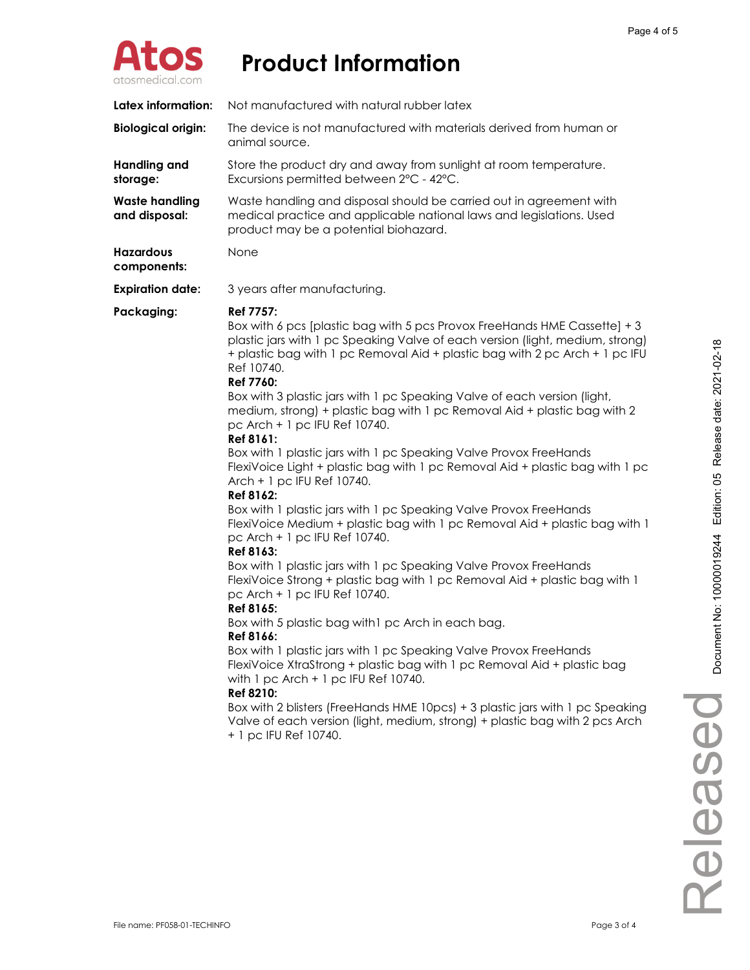

| Latex information:                     | Not manufactured with natural rubber latex                                                                                                                                                                                                                                                                                                                                                                                                                                                                                                                                                                                                                                                                                                                                                                                                                                                                                                                                                                                                                                                                                                                                                                                                                                                                                                                                                                                                                                                                                                                            |
|----------------------------------------|-----------------------------------------------------------------------------------------------------------------------------------------------------------------------------------------------------------------------------------------------------------------------------------------------------------------------------------------------------------------------------------------------------------------------------------------------------------------------------------------------------------------------------------------------------------------------------------------------------------------------------------------------------------------------------------------------------------------------------------------------------------------------------------------------------------------------------------------------------------------------------------------------------------------------------------------------------------------------------------------------------------------------------------------------------------------------------------------------------------------------------------------------------------------------------------------------------------------------------------------------------------------------------------------------------------------------------------------------------------------------------------------------------------------------------------------------------------------------------------------------------------------------------------------------------------------------|
| <b>Biological origin:</b>              | The device is not manufactured with materials derived from human or<br>animal source.                                                                                                                                                                                                                                                                                                                                                                                                                                                                                                                                                                                                                                                                                                                                                                                                                                                                                                                                                                                                                                                                                                                                                                                                                                                                                                                                                                                                                                                                                 |
| <b>Handling and</b><br>storage:        | Store the product dry and away from sunlight at room temperature.<br>Excursions permitted between 2°C - 42°C.                                                                                                                                                                                                                                                                                                                                                                                                                                                                                                                                                                                                                                                                                                                                                                                                                                                                                                                                                                                                                                                                                                                                                                                                                                                                                                                                                                                                                                                         |
| <b>Waste handling</b><br>and disposal: | Waste handling and disposal should be carried out in agreement with<br>medical practice and applicable national laws and legislations. Used<br>product may be a potential biohazard.                                                                                                                                                                                                                                                                                                                                                                                                                                                                                                                                                                                                                                                                                                                                                                                                                                                                                                                                                                                                                                                                                                                                                                                                                                                                                                                                                                                  |
| <b>Hazardous</b><br>components:        | None                                                                                                                                                                                                                                                                                                                                                                                                                                                                                                                                                                                                                                                                                                                                                                                                                                                                                                                                                                                                                                                                                                                                                                                                                                                                                                                                                                                                                                                                                                                                                                  |
| <b>Expiration date:</b>                | 3 years after manufacturing.                                                                                                                                                                                                                                                                                                                                                                                                                                                                                                                                                                                                                                                                                                                                                                                                                                                                                                                                                                                                                                                                                                                                                                                                                                                                                                                                                                                                                                                                                                                                          |
| Packaging:                             | <b>Ref 7757:</b><br>Box with 6 pcs [plastic bag with 5 pcs Provox FreeHands HME Cassette] + 3<br>plastic jars with 1 pc Speaking Valve of each version (light, medium, strong)<br>+ plastic bag with 1 pc Removal Aid + plastic bag with 2 pc Arch + 1 pc IFU<br>Ref 10740.<br>Ref 7760:<br>Box with 3 plastic jars with 1 pc Speaking Valve of each version (light,<br>medium, strong) + plastic bag with 1 pc Removal Aid + plastic bag with 2<br>pc Arch + 1 pc IFU Ref 10740.<br>Ref 8161:<br>Box with 1 plastic jars with 1 pc Speaking Valve Provox FreeHands<br>FlexiVoice Light + plastic bag with 1 pc Removal Aid + plastic bag with 1 pc<br>Arch + 1 pc IFU Ref 10740.<br>Ref 8162:<br>Box with 1 plastic jars with 1 pc Speaking Valve Provox FreeHands<br>FlexiVoice Medium + plastic bag with 1 pc Removal Aid + plastic bag with 1<br>pc Arch + 1 pc IFU Ref 10740.<br>Ref 8163:<br>Box with 1 plastic jars with 1 pc Speaking Valve Provox FreeHands<br>FlexiVoice Strong + plastic bag with 1 pc Removal Aid + plastic bag with 1<br>pc Arch + 1 pc IFU Ref 10740.<br>Ref 8165:<br>Box with 5 plastic bag with 1 pc Arch in each bag.<br>Ref 8166:<br>Box with 1 plastic jars with 1 pc Speaking Valve Provox FreeHands<br>FlexiVoice XtraStrong + plastic bag with 1 pc Removal Aid + plastic bag<br>with $1 pc$ Arch + $1 pc$ IFU Ref 10740.<br>Ref 8210:<br>Box with 2 blisters (FreeHands HME 10pcs) + 3 plastic jars with 1 pc Speaking<br>Valve of each version (light, medium, strong) + plastic bag with 2 pcs Arch<br>+ 1 pc IFU Ref 10740. |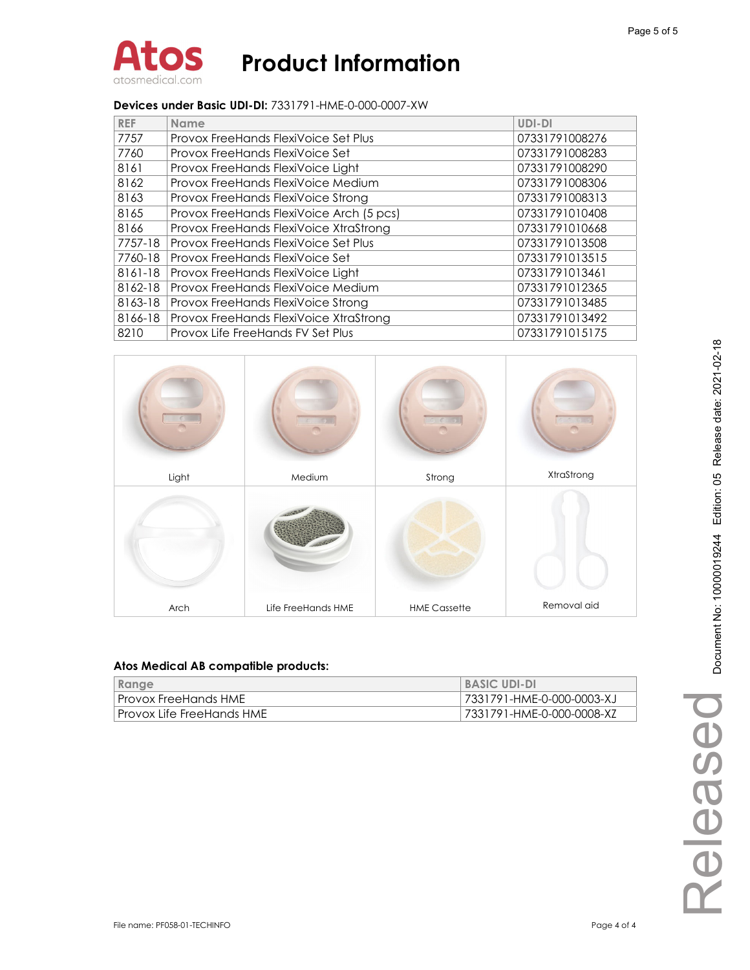

### **Devices under Basic UDI-DI:** 7331791-HME-0-000-0007-XW

| <b>REF</b> | <b>Name</b>                              | UDI-DI         |
|------------|------------------------------------------|----------------|
| 7757       | Provox FreeHands FlexiVoice Set Plus     | 07331791008276 |
| 7760       | Provox FreeHands FlexiVoice Set          | 07331791008283 |
| 8161       | Provox FreeHands FlexiVoice Light        | 07331791008290 |
| 8162       | Provox FreeHands FlexiVoice Medium       | 07331791008306 |
| 8163       | Provox FreeHands FlexiVoice Strong       | 07331791008313 |
| 8165       | Provox FreeHands FlexiVoice Arch (5 pcs) | 07331791010408 |
| 8166       | Provox FreeHands FlexiVoice XtraStrong   | 07331791010668 |
| 7757-18    | Provox FreeHands FlexiVoice Set Plus     | 07331791013508 |
| 7760-18    | Provox FreeHands FlexiVoice Set          | 07331791013515 |
| 8161-18    | Provox FreeHands FlexiVoice Light        | 07331791013461 |
| 8162-18    | Provox FreeHands FlexiVoice Medium       | 07331791012365 |
| 8163-18    | Provox FreeHands FlexiVoice Strong       | 07331791013485 |
| 8166-18    | Provox FreeHands FlexiVoice XtraStrong   | 07331791013492 |
| 8210       | Provox Life FreeHands FV Set Plus        | 07331791015175 |



| Range                     | <b>BASIC UDI-DI</b>       |
|---------------------------|---------------------------|
| Provox FreeHands HME      | 7331791-HME-0-000-0003-XJ |
| Provox Life FreeHands HME | 7331791-HME-0-000-0008-XZ |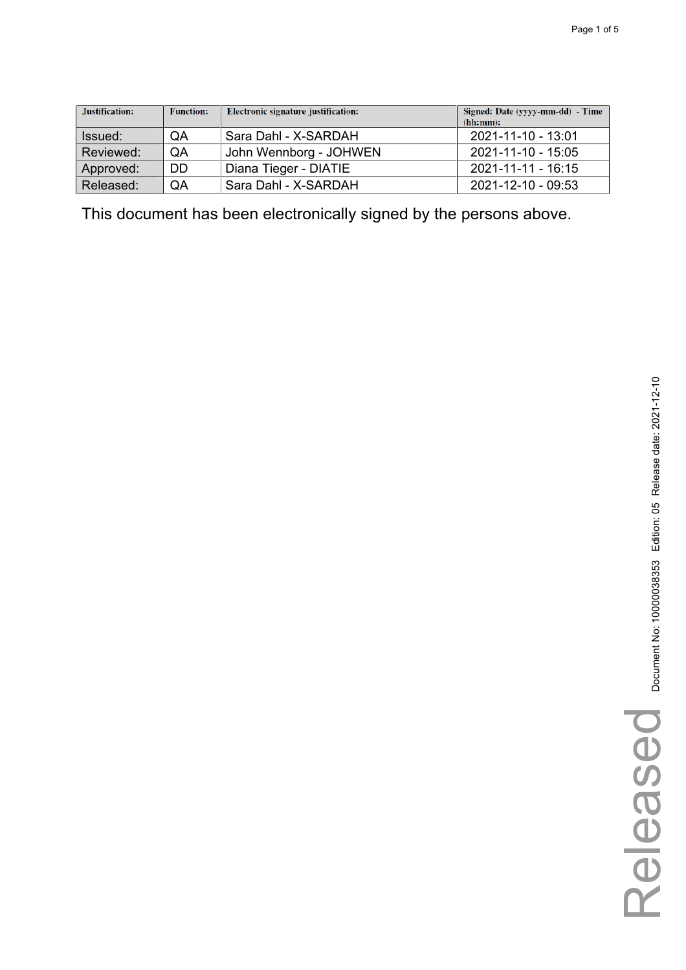| Justification: | <b>Function:</b> | Electronic signature justification: | Signed: Date (yyyy-mm-dd) - Time<br>(hh:mm): |
|----------------|------------------|-------------------------------------|----------------------------------------------|
| Issued:        | QA               | Sara Dahl - X-SARDAH                | 2021-11-10 - 13:01                           |
| Reviewed:      | QA               | John Wennborg - JOHWEN              | 2021-11-10 - 15:05                           |
| Approved:      | DD               | Diana Tieger - DIATIE               | 2021-11-11 - 16:15                           |
| Released:      | QA               | Sara Dahl - X-SARDAH                | 2021-12-10 - 09:53                           |

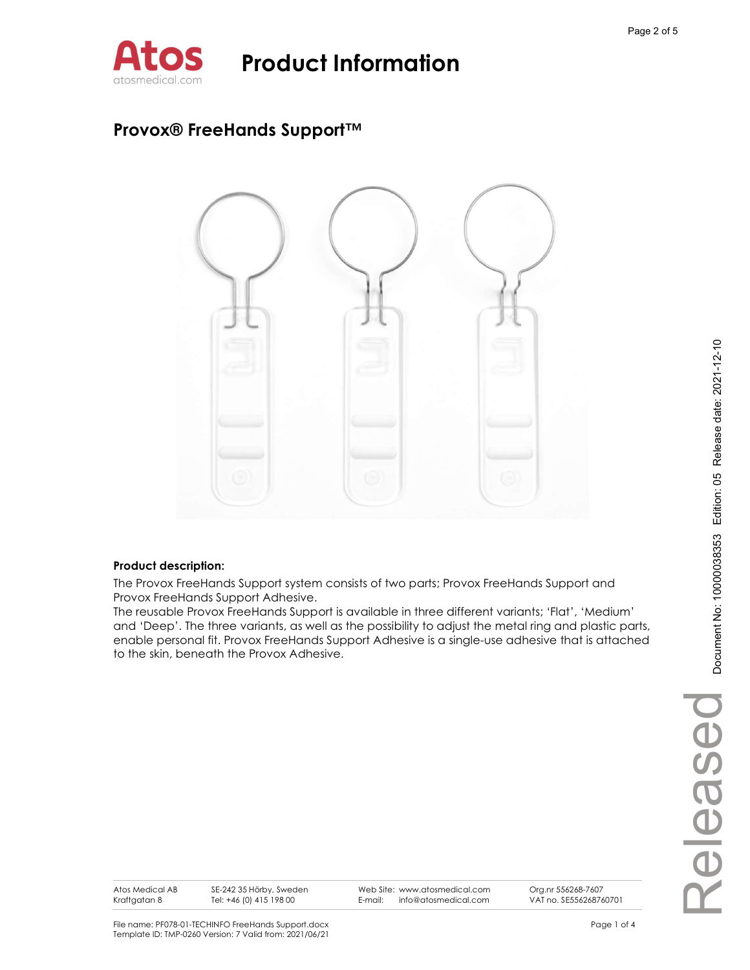

### Provox® FreeHands Support™



### Product description:

The Provox FreeHands Support system consists of two parts; Provox FreeHands Support and Provox FreeHands Support Adhesive.

The reusable Provox FreeHands Support is available in three different variants; 'Flat', 'Medium' and 'Deep'. The three variants, as well as the possibility to adjust the metal ring and plastic parts, enable personal fit. Provox FreeHands Support Adhesive is a single-use adhesive that is attached to the skin, beneath the Provox Adhesive.

Atos Medical AB Kraftgatan 8

SE-242 35 Hörby, Sweden Tel: +46 (0) 415 198 00

Web Site: www.atosmedical.com<br>F-mail: info@atosmedical.com E-mail: info@atosmedical.com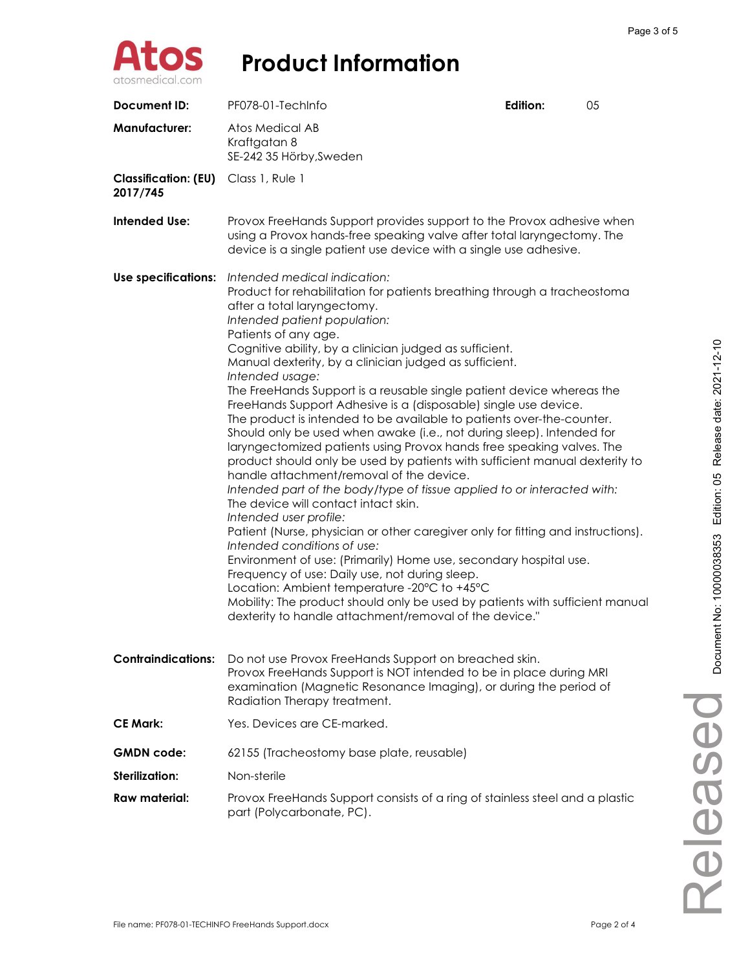

| Document ID:                            | PF078-01-TechInfo                                                                                                                                                                                                                                                                                                                                                                                                                                                                                                                                                                                                                                                                                                                                                                                                                                                                                                                                                                                                                                                                                                                                                                                                                                                                                                                                                                                                          | Edition: | 05 |
|-----------------------------------------|----------------------------------------------------------------------------------------------------------------------------------------------------------------------------------------------------------------------------------------------------------------------------------------------------------------------------------------------------------------------------------------------------------------------------------------------------------------------------------------------------------------------------------------------------------------------------------------------------------------------------------------------------------------------------------------------------------------------------------------------------------------------------------------------------------------------------------------------------------------------------------------------------------------------------------------------------------------------------------------------------------------------------------------------------------------------------------------------------------------------------------------------------------------------------------------------------------------------------------------------------------------------------------------------------------------------------------------------------------------------------------------------------------------------------|----------|----|
| <b>Manufacturer:</b>                    | <b>Atos Medical AB</b><br>Kraftgatan 8<br>SE-242 35 Hörby, Sweden                                                                                                                                                                                                                                                                                                                                                                                                                                                                                                                                                                                                                                                                                                                                                                                                                                                                                                                                                                                                                                                                                                                                                                                                                                                                                                                                                          |          |    |
| <b>Classification: (EU)</b><br>2017/745 | Class 1, Rule 1                                                                                                                                                                                                                                                                                                                                                                                                                                                                                                                                                                                                                                                                                                                                                                                                                                                                                                                                                                                                                                                                                                                                                                                                                                                                                                                                                                                                            |          |    |
| Intended Use:                           | Provox FreeHands Support provides support to the Provox adhesive when<br>using a Provox hands-free speaking valve after total laryngectomy. The<br>device is a single patient use device with a single use adhesive.                                                                                                                                                                                                                                                                                                                                                                                                                                                                                                                                                                                                                                                                                                                                                                                                                                                                                                                                                                                                                                                                                                                                                                                                       |          |    |
| <b>Use specifications:</b>              | Intended medical indication:<br>Product for rehabilitation for patients breathing through a tracheostoma<br>after a total laryngectomy.<br>Intended patient population:<br>Patients of any age.<br>Cognitive ability, by a clinician judged as sufficient.<br>Manual dexterity, by a clinician judged as sufficient.<br>Intended usage:<br>The FreeHands Support is a reusable single patient device whereas the<br>FreeHands Support Adhesive is a (disposable) single use device.<br>The product is intended to be available to patients over-the-counter.<br>Should only be used when awake (i.e., not during sleep). Intended for<br>laryngectomized patients using Provox hands free speaking valves. The<br>product should only be used by patients with sufficient manual dexterity to<br>handle attachment/removal of the device.<br>Intended part of the body/type of tissue applied to or interacted with:<br>The device will contact intact skin.<br>Intended user profile:<br>Patient (Nurse, physician or other caregiver only for fitting and instructions).<br>Intended conditions of use:<br>Environment of use: (Primarily) Home use, secondary hospital use.<br>Frequency of use: Daily use, not during sleep.<br>Location: Ambient temperature -20°C to +45°C<br>Mobility: The product should only be used by patients with sufficient manual<br>dexterity to handle attachment/removal of the device." |          |    |
| <b>Contraindications:</b>               | Do not use Provox FreeHands Support on breached skin.<br>Provox FreeHands Support is NOT intended to be in place during MRI<br>examination (Magnetic Resonance Imaging), or during the period of<br>Radiation Therapy treatment.                                                                                                                                                                                                                                                                                                                                                                                                                                                                                                                                                                                                                                                                                                                                                                                                                                                                                                                                                                                                                                                                                                                                                                                           |          |    |
| <b>CE Mark:</b>                         | Yes. Devices are CE-marked.                                                                                                                                                                                                                                                                                                                                                                                                                                                                                                                                                                                                                                                                                                                                                                                                                                                                                                                                                                                                                                                                                                                                                                                                                                                                                                                                                                                                |          |    |
| <b>GMDN</b> code:                       | 62155 (Tracheostomy base plate, reusable)                                                                                                                                                                                                                                                                                                                                                                                                                                                                                                                                                                                                                                                                                                                                                                                                                                                                                                                                                                                                                                                                                                                                                                                                                                                                                                                                                                                  |          |    |
| Sterilization:                          | Non-sterile                                                                                                                                                                                                                                                                                                                                                                                                                                                                                                                                                                                                                                                                                                                                                                                                                                                                                                                                                                                                                                                                                                                                                                                                                                                                                                                                                                                                                |          |    |
| Raw material:                           | Provox FreeHands Support consists of a ring of stainless steel and a plastic<br>part (Polycarbonate, PC).                                                                                                                                                                                                                                                                                                                                                                                                                                                                                                                                                                                                                                                                                                                                                                                                                                                                                                                                                                                                                                                                                                                                                                                                                                                                                                                  |          |    |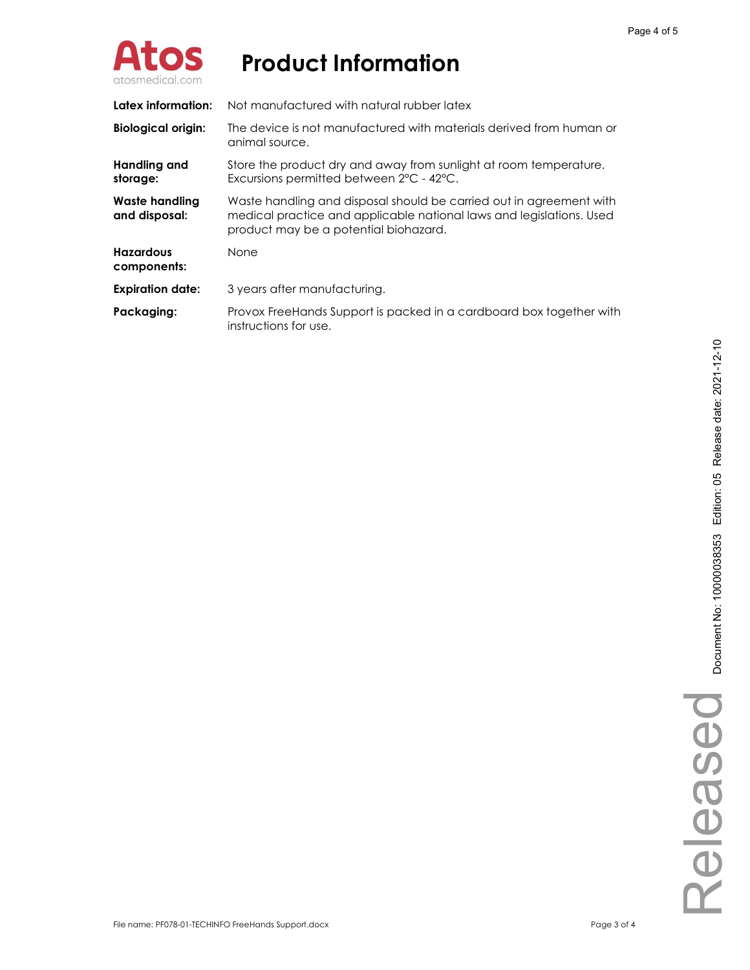

| Latex information:                     | Not manufactured with natural rubber latex                                                                                                                                           |
|----------------------------------------|--------------------------------------------------------------------------------------------------------------------------------------------------------------------------------------|
| <b>Biological origin:</b>              | The device is not manufactured with materials derived from human or<br>animal source.                                                                                                |
| Handling and<br>storage:               | Store the product dry and away from sunlight at room temperature.<br>Excursions permitted between 2°C - 42°C.                                                                        |
| <b>Waste handling</b><br>and disposal: | Waste handling and disposal should be carried out in agreement with<br>medical practice and applicable national laws and legislations. Used<br>product may be a potential biohazard. |
| <b>Hazardous</b><br>components:        | <b>None</b>                                                                                                                                                                          |
| <b>Expiration date:</b>                | 3 years after manufacturing.                                                                                                                                                         |
| Packaging:                             | Provox FreeHands Support is packed in a cardboard box together with<br>instructions for use.                                                                                         |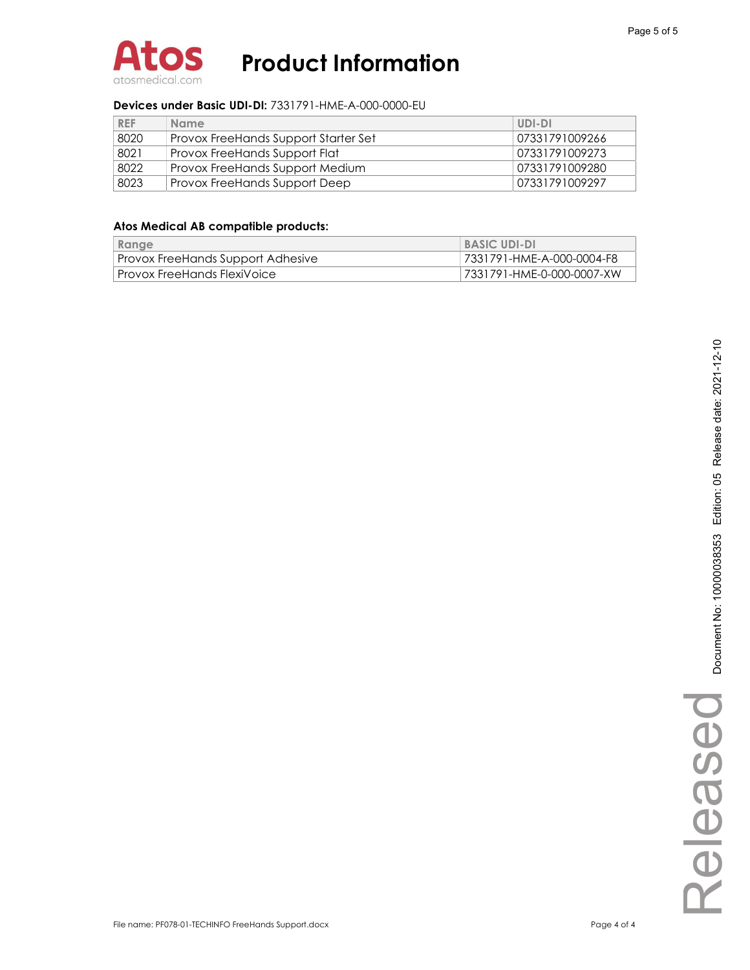

### Devices under Basic UDI-DI: 7331791-HME-A-000-0000-EU

| <b>REF</b> | <b>Name</b>                          | UDI-DI         |
|------------|--------------------------------------|----------------|
| 8020       | Provox FreeHands Support Starter Set | 07331791009266 |
| 8021       | Provox FreeHands Support Flat        | 07331791009273 |
| 8022       | Provox FreeHands Support Medium      | 07331791009280 |
| 8023       | Provox FreeHands Support Deep        | 07331791009297 |

| Range                             | <b>BASIC UDI-DI</b>       |
|-----------------------------------|---------------------------|
| Provox FreeHands Support Adhesive | 7331791-HME-A-000-0004-F8 |
| . Provox FreeHands FlexiVoice .   | 7331791-HME-0-000-0007-XW |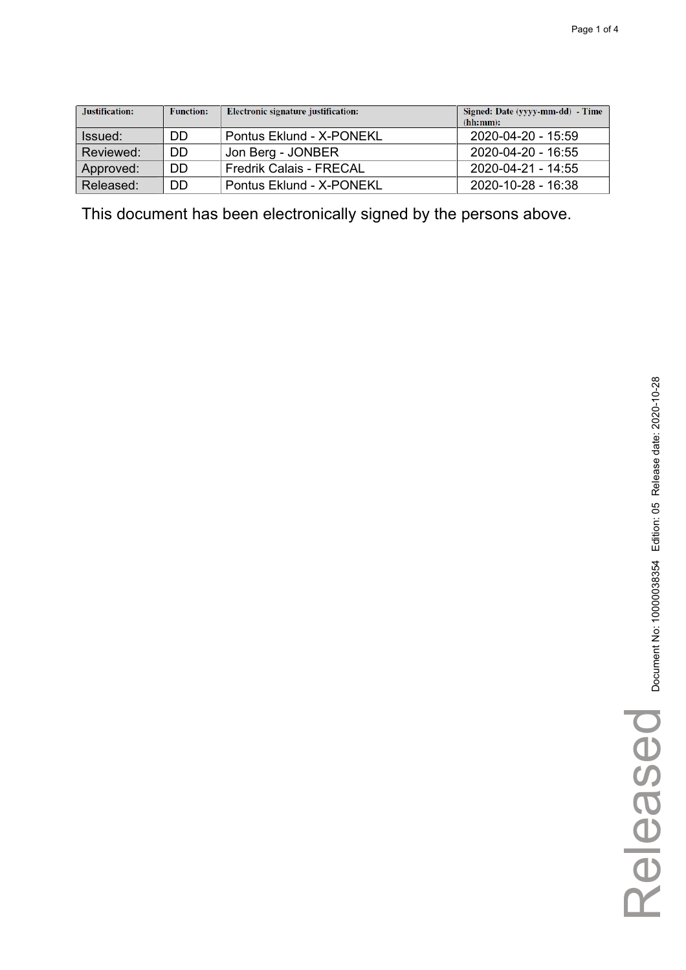| Justification: | <b>Function:</b> | Electronic signature justification: | Signed: Date (yyyy-mm-dd) - Time<br>(hh:mm): |
|----------------|------------------|-------------------------------------|----------------------------------------------|
| Issued:        | DD               | Pontus Eklund - X-PONEKL            | 2020-04-20 - 15:59                           |
| Reviewed:      | DD               | Jon Berg - JONBER                   | 2020-04-20 - 16:55                           |
| Approved:      | DD               | <b>Fredrik Calais - FRECAL</b>      | 2020-04-21 - 14:55                           |
| Released:      | DD               | Pontus Eklund - X-PONEKL            | $2020 - 10 - 28 - 16.38$                     |

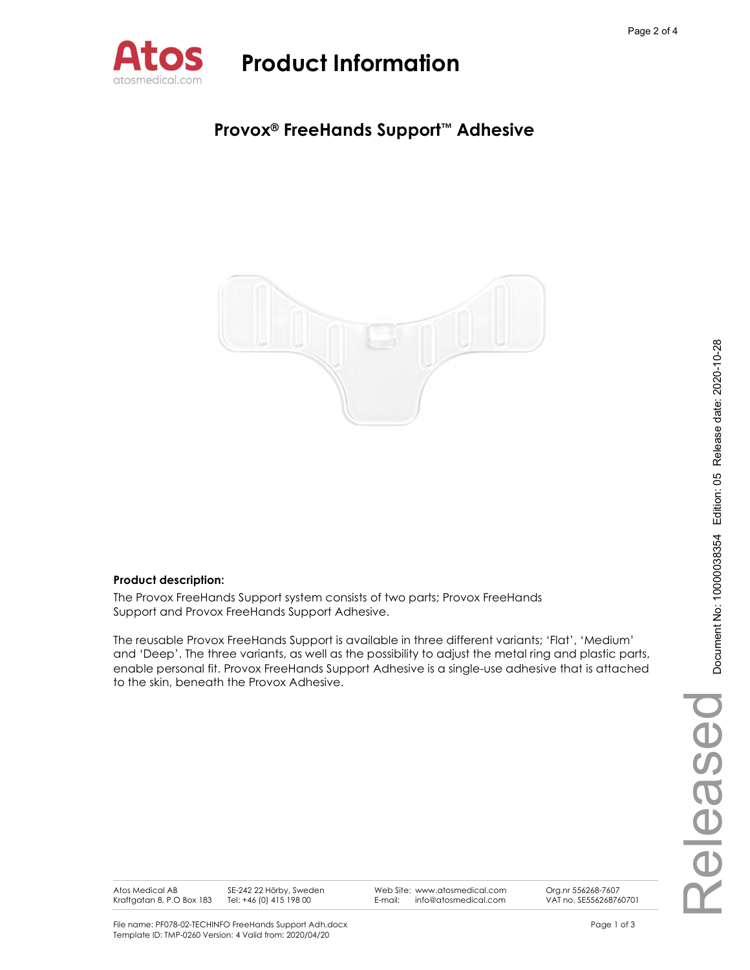

### Provox® FreeHands Support™ Adhesive



### Product description:

The Provox FreeHands Support system consists of two parts; Provox FreeHands Support and Provox FreeHands Support Adhesive.

The reusable Provox FreeHands Support is available in three different variants; 'Flat', 'Medium' and 'Deep'. The three variants, as well as the possibility to adjust the metal ring and plastic parts, enable personal fit. Provox FreeHands Support Adhesive is a single-use adhesive that is attached to the skin, beneath the Provox Adhesive.

Atos Medical AB Kraftgatan 8, P.O Box 183 SE-242 22 Hörby, Sweden Tel: +46 (0) 415 198 00

Web Site: www.atosmedical.com<br>F-mail: info@atosmedical.com E-mail: info@atosmedical.com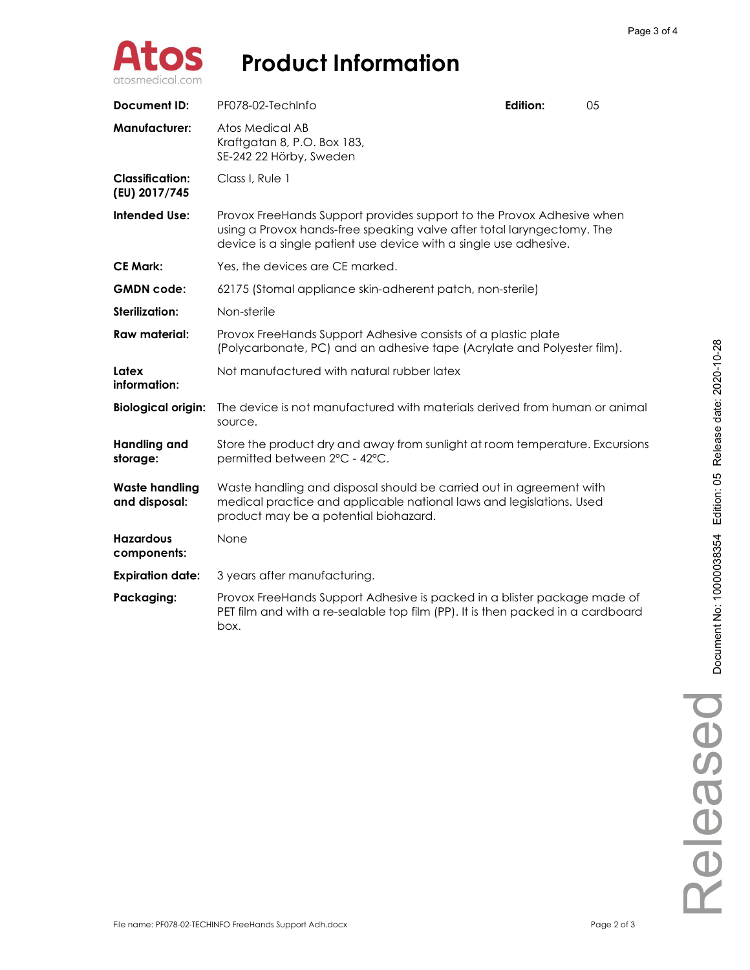

| <b>Document ID:</b>                     | PF078-02-TechInfo                                                                                                                                                                                                    | Edition: | 05 |  |
|-----------------------------------------|----------------------------------------------------------------------------------------------------------------------------------------------------------------------------------------------------------------------|----------|----|--|
| <b>Manufacturer:</b>                    | Atos Medical AB<br>Kraftgatan 8, P.O. Box 183,<br>SE-242 22 Hörby, Sweden                                                                                                                                            |          |    |  |
| <b>Classification:</b><br>(EU) 2017/745 | Class I, Rule 1                                                                                                                                                                                                      |          |    |  |
| <b>Intended Use:</b>                    | Provox FreeHands Support provides support to the Provox Adhesive when<br>using a Provox hands-free speaking valve after total laryngectomy. The<br>device is a single patient use device with a single use adhesive. |          |    |  |
| <b>CE Mark:</b>                         | Yes, the devices are CE marked.                                                                                                                                                                                      |          |    |  |
| <b>GMDN</b> code:                       | 62175 (Stomal appliance skin-adherent patch, non-sterile)                                                                                                                                                            |          |    |  |
| <b>Sterilization:</b>                   | Non-sterile                                                                                                                                                                                                          |          |    |  |
| <b>Raw material:</b>                    | Provox FreeHands Support Adhesive consists of a plastic plate<br>(Polycarbonate, PC) and an adhesive tape (Acrylate and Polyester film).                                                                             |          |    |  |
| Latex<br>information:                   | Not manufactured with natural rubber latex                                                                                                                                                                           |          |    |  |
| <b>Biological origin:</b>               | The device is not manufactured with materials derived from human or animal<br>source.                                                                                                                                |          |    |  |
| <b>Handling and</b><br>storage:         | Store the product dry and away from sunlight at room temperature. Excursions<br>permitted between 2°C - 42°C.                                                                                                        |          |    |  |
| <b>Waste handling</b><br>and disposal:  | Waste handling and disposal should be carried out in agreement with<br>medical practice and applicable national laws and legislations. Used<br>product may be a potential biohazard.                                 |          |    |  |
| <b>Hazardous</b><br>components:         | None                                                                                                                                                                                                                 |          |    |  |
| <b>Expiration date:</b>                 | 3 years after manufacturing.                                                                                                                                                                                         |          |    |  |
| Packaging:                              | Provox FreeHands Support Adhesive is packed in a blister package made of<br>PET film and with a re-sealable top film (PP). It is then packed in a cardboard<br>box.                                                  |          |    |  |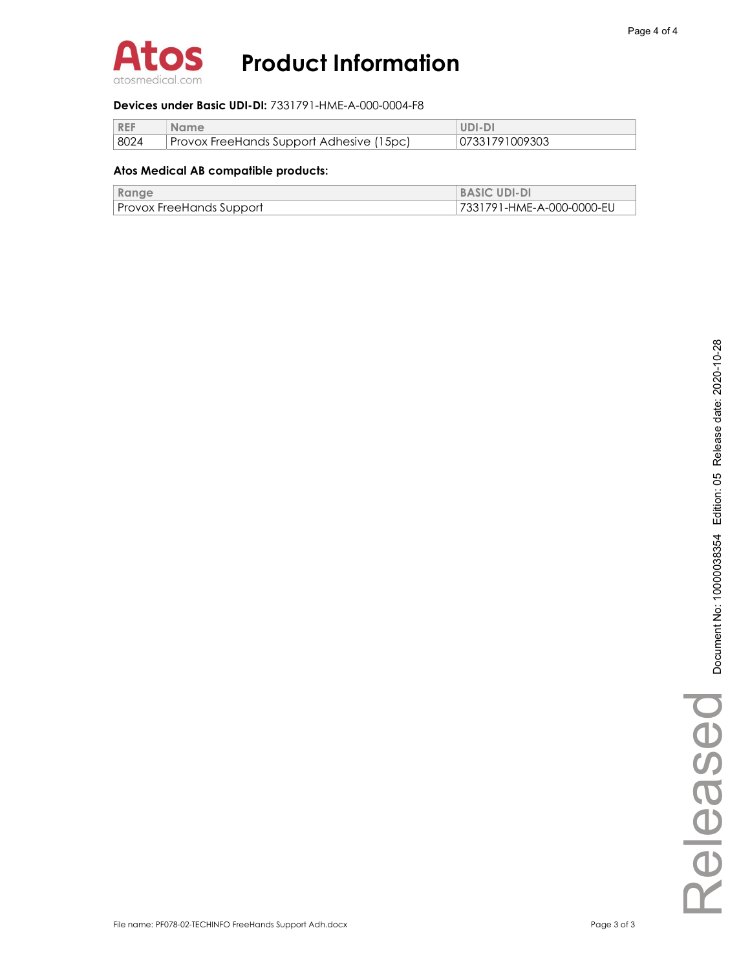

#### Devices under Basic UDI-DI: 7331791-HME-A-000-0004-F8

| <b>REF</b> | <b>Name</b>                              | UDI-DI         |
|------------|------------------------------------------|----------------|
| 8024       | Provox FreeHands Support Adhesive (15pc) | 07331791009303 |

| Range                           | <b>BASIC UDI-DI</b>       |
|---------------------------------|---------------------------|
| <b>Provox FreeHands Support</b> | 7331791-HME-A-000-0000-EU |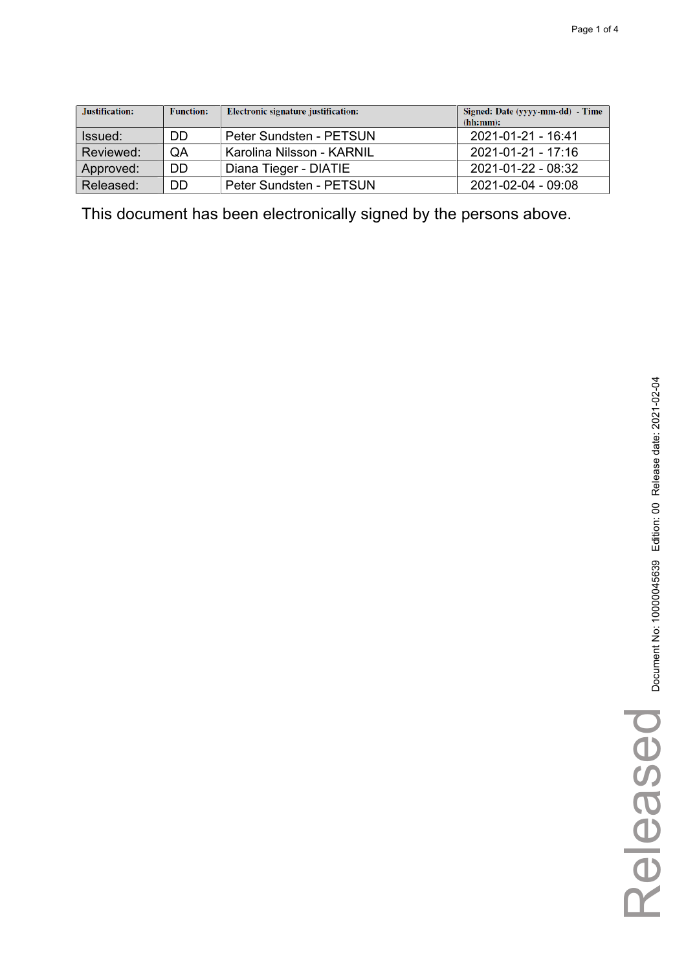| Justification: | <b>Function:</b> | Electronic signature justification: | Signed: Date (yyyy-mm-dd) - Time<br>(hh:mm): |
|----------------|------------------|-------------------------------------|----------------------------------------------|
| Issued:        | DD               | Peter Sundsten - PETSUN             | 2021-01-21 - 16:41                           |
| Reviewed:      | QA               | Karolina Nilsson - KARNIL           | 2021-01-21 - 17:16                           |
| Approved:      | DD.              | Diana Tieger - DIATIE               | 2021-01-22 - 08:32                           |
| Released:      | DD               | Peter Sundsten - PETSUN             | 2021-02-04 - 09:08                           |

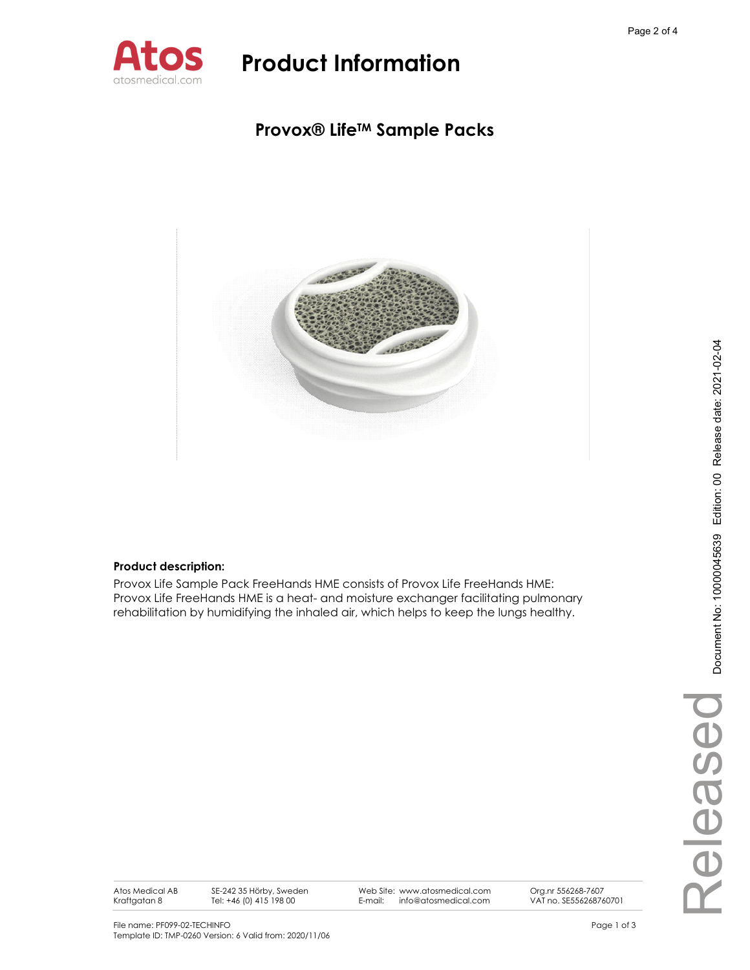

### **Provox® LifeTM Sample Packs**



### **Product description:**

Provox Life Sample Pack FreeHands HME consists of Provox Life FreeHands HME: Provox Life FreeHands HME is a heat- and moisture exchanger facilitating pulmonary rehabilitation by humidifying the inhaled air, which helps to keep the lungs healthy.

Atos Medical AB Kraftgatan 8

SE-242 35 Hörby, Sweden Tel: +46 (0) 415 198 00

Web Site: www.atosmedical.com E-mail: info@atosmedical.com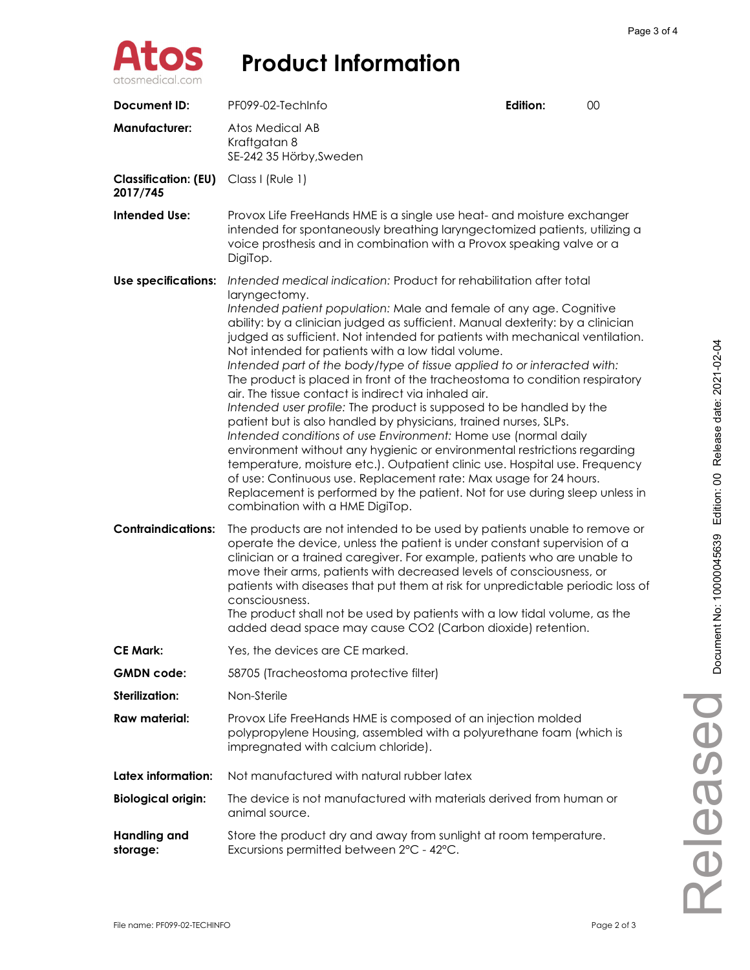

| Document ID:                            | PF099-02-TechInfo                                                                                                                                                                                                                                                                                                                                                                                                                                                                                                                                                                                                                                                                                                                                                                                                                                                                                                                                                                                                                                                                                                                                                   | Edition: | 00 |
|-----------------------------------------|---------------------------------------------------------------------------------------------------------------------------------------------------------------------------------------------------------------------------------------------------------------------------------------------------------------------------------------------------------------------------------------------------------------------------------------------------------------------------------------------------------------------------------------------------------------------------------------------------------------------------------------------------------------------------------------------------------------------------------------------------------------------------------------------------------------------------------------------------------------------------------------------------------------------------------------------------------------------------------------------------------------------------------------------------------------------------------------------------------------------------------------------------------------------|----------|----|
| <b>Manufacturer:</b>                    | Atos Medical AB<br>Kraftgatan 8<br>SE-242 35 Hörby, Sweden                                                                                                                                                                                                                                                                                                                                                                                                                                                                                                                                                                                                                                                                                                                                                                                                                                                                                                                                                                                                                                                                                                          |          |    |
| <b>Classification: (EU)</b><br>2017/745 | Class I (Rule 1)                                                                                                                                                                                                                                                                                                                                                                                                                                                                                                                                                                                                                                                                                                                                                                                                                                                                                                                                                                                                                                                                                                                                                    |          |    |
| <b>Intended Use:</b>                    | Provox Life FreeHands HME is a single use heat- and moisture exchanger<br>intended for spontaneously breathing laryngectomized patients, utilizing a<br>voice prosthesis and in combination with a Provox speaking valve or a<br>DigiTop.                                                                                                                                                                                                                                                                                                                                                                                                                                                                                                                                                                                                                                                                                                                                                                                                                                                                                                                           |          |    |
| Use specifications:                     | Intended medical indication: Product for rehabilitation after total<br>laryngectomy.<br>Intended patient population: Male and female of any age. Cognitive<br>ability: by a clinician judged as sufficient. Manual dexterity: by a clinician<br>judged as sufficient. Not intended for patients with mechanical ventilation.<br>Not intended for patients with a low tidal volume.<br>Intended part of the body/type of tissue applied to or interacted with:<br>The product is placed in front of the tracheostoma to condition respiratory<br>air. The tissue contact is indirect via inhaled air.<br>Intended user profile: The product is supposed to be handled by the<br>patient but is also handled by physicians, trained nurses, SLPs.<br>Intended conditions of use Environment: Home use (normal daily<br>environment without any hygienic or environmental restrictions regarding<br>temperature, moisture etc.). Outpatient clinic use. Hospital use. Frequency<br>of use: Continuous use. Replacement rate: Max usage for 24 hours.<br>Replacement is performed by the patient. Not for use during sleep unless in<br>combination with a HME DigiTop. |          |    |
| <b>Contraindications:</b>               | The products are not intended to be used by patients unable to remove or<br>operate the device, unless the patient is under constant supervision of a<br>clinician or a trained caregiver. For example, patients who are unable to<br>move their arms, patients with decreased levels of consciousness, or<br>patients with diseases that put them at risk for unpredictable periodic loss of<br>consciousness.<br>The product shall not be used by patients with a low tidal volume, as the<br>added dead space may cause CO2 (Carbon dioxide) retention.                                                                                                                                                                                                                                                                                                                                                                                                                                                                                                                                                                                                          |          |    |
| <b>CE Mark:</b>                         | Yes, the devices are CE marked.                                                                                                                                                                                                                                                                                                                                                                                                                                                                                                                                                                                                                                                                                                                                                                                                                                                                                                                                                                                                                                                                                                                                     |          |    |
| <b>GMDN</b> code:                       | 58705 (Tracheostoma protective filter)                                                                                                                                                                                                                                                                                                                                                                                                                                                                                                                                                                                                                                                                                                                                                                                                                                                                                                                                                                                                                                                                                                                              |          |    |
| <b>Sterilization:</b>                   | Non-Sterile                                                                                                                                                                                                                                                                                                                                                                                                                                                                                                                                                                                                                                                                                                                                                                                                                                                                                                                                                                                                                                                                                                                                                         |          |    |
| Raw material:                           | Provox Life FreeHands HME is composed of an injection molded<br>polypropylene Housing, assembled with a polyurethane foam (which is<br>impregnated with calcium chloride).                                                                                                                                                                                                                                                                                                                                                                                                                                                                                                                                                                                                                                                                                                                                                                                                                                                                                                                                                                                          |          |    |
| Latex information:                      | Not manufactured with natural rubber latex                                                                                                                                                                                                                                                                                                                                                                                                                                                                                                                                                                                                                                                                                                                                                                                                                                                                                                                                                                                                                                                                                                                          |          |    |
| <b>Biological origin:</b>               | The device is not manufactured with materials derived from human or<br>animal source.                                                                                                                                                                                                                                                                                                                                                                                                                                                                                                                                                                                                                                                                                                                                                                                                                                                                                                                                                                                                                                                                               |          |    |
| <b>Handling and</b><br>storage:         | Store the product dry and away from sunlight at room temperature.<br>Excursions permitted between 2°C - 42°C.                                                                                                                                                                                                                                                                                                                                                                                                                                                                                                                                                                                                                                                                                                                                                                                                                                                                                                                                                                                                                                                       |          |    |